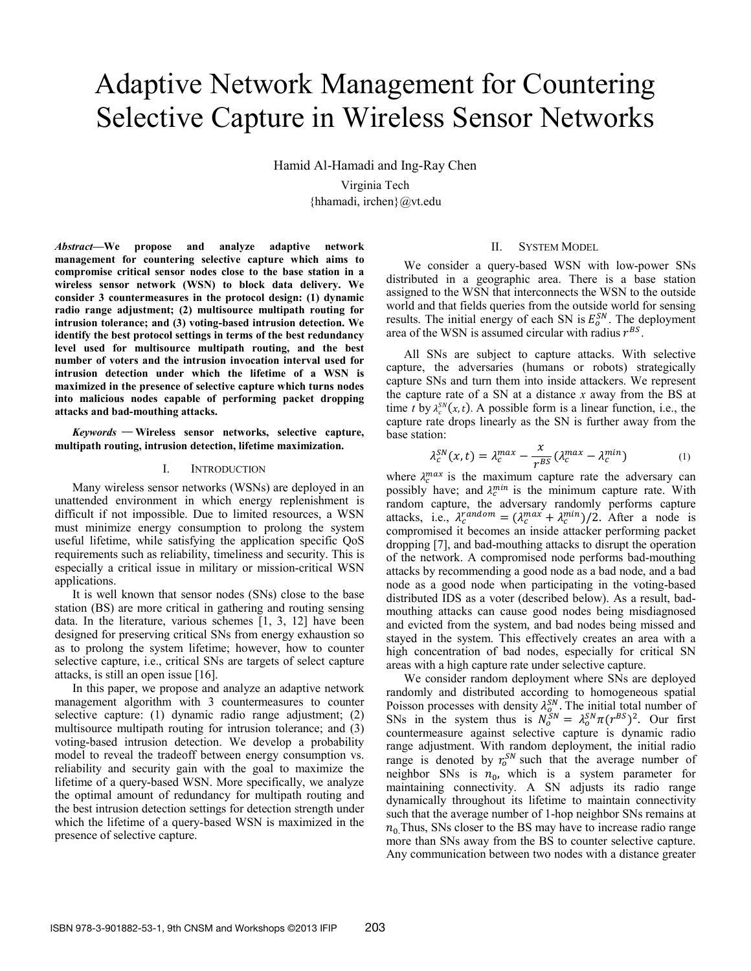# Adaptive Network Management for Countering Selective Capture in Wireless Sensor Networks

Hamid Al-Hamadi and Ing-Ray Chen Virginia Tech {hhamadi, irchen}@vt.edu

*Abstract***—We propose and analyze adaptive network management for countering selective capture which aims to compromise critical sensor nodes close to the base station in a wireless sensor network (WSN) to block data delivery. We consider 3 countermeasures in the protocol design: (1) dynamic radio range adjustment; (2) multisource multipath routing for intrusion tolerance; and (3) voting-based intrusion detection. We identify the best protocol settings in terms of the best redundancy level used for multisource multipath routing, and the best number of voters and the intrusion invocation interval used for intrusion detection under which the lifetime of a WSN is maximized in the presence of selective capture which turns nodes into malicious nodes capable of performing packet dropping attacks and bad-mouthing attacks.** 

*Keywords* — **Wireless sensor networks, selective capture, multipath routing, intrusion detection, lifetime maximization.** 

#### I. INTRODUCTION

Many wireless sensor networks (WSNs) are deployed in an unattended environment in which energy replenishment is difficult if not impossible. Due to limited resources, a WSN must minimize energy consumption to prolong the system useful lifetime, while satisfying the application specific QoS requirements such as reliability, timeliness and security. This is especially a critical issue in military or mission-critical WSN applications.

It is well known that sensor nodes (SNs) close to the base station (BS) are more critical in gathering and routing sensing data. In the literature, various schemes [1, 3, 12] have been designed for preserving critical SNs from energy exhaustion so as to prolong the system lifetime; however, how to counter selective capture, i.e., critical SNs are targets of select capture attacks, is still an open issue [16].

In this paper, we propose and analyze an adaptive network management algorithm with 3 countermeasures to counter selective capture: (1) dynamic radio range adjustment; (2) multisource multipath routing for intrusion tolerance; and (3) voting-based intrusion detection. We develop a probability model to reveal the tradeoff between energy consumption vs. reliability and security gain with the goal to maximize the lifetime of a query-based WSN. More specifically, we analyze the optimal amount of redundancy for multipath routing and the best intrusion detection settings for detection strength under which the lifetime of a query-based WSN is maximized in the presence of selective capture.

#### II. SYSTEM MODEL

We consider a query-based WSN with low-power SNs distributed in a geographic area. There is a base station assigned to the WSN that interconnects the WSN to the outside world and that fields queries from the outside world for sensing results. The initial energy of each SN is  $E_0^{SN}$ . The deployment area of the WSN is assumed circular with radius  $r^{BS}$ .

All SNs are subject to capture attacks. With selective capture, the adversaries (humans or robots) strategically capture SNs and turn them into inside attackers. We represent the capture rate of a SN at a distance *x* away from the BS at time *t* by  $\lambda_c^{SN}(x, t)$ . A possible form is a linear function, i.e., the capture rate drops linearly as the SN is further away from the base station:

$$
\lambda_c^{SN}(x,t) = \lambda_c^{max} - \frac{x}{r^{BS}} (\lambda_c^{max} - \lambda_c^{min})
$$
 (1)

where  $\lambda_c^{max}$  is the maximum capture rate the adversary can possibly have; and  $\lambda_c^{min}$  is the minimum capture rate. With random capture, the adversary randomly performs capture attacks, i.e.,  $\lambda_c^{random} = (\lambda_c^{max} + \lambda_c^{min})/2$ . After a node is compromised it becomes an inside attacker performing packet dropping [7], and bad-mouthing attacks to disrupt the operation of the network. A compromised node performs bad-mouthing attacks by recommending a good node as a bad node, and a bad node as a good node when participating in the voting-based distributed IDS as a voter (described below). As a result, badmouthing attacks can cause good nodes being misdiagnosed and evicted from the system, and bad nodes being missed and stayed in the system. This effectively creates an area with a high concentration of bad nodes, especially for critical SN areas with a high capture rate under selective capture.

We consider random deployment where SNs are deployed randomly and distributed according to homogeneous spatial Poisson processes with density  $\lambda_o^{SN}$ . The initial total number of SNs in the system thus is  $N_o^{SN} = \lambda_o^{SN} \pi (r^{BS})^2$ . Our first countermeasure against selective capture is dynamic radio range adjustment. With random deployment, the initial radio range is denoted by  $r_0^{SN}$  such that the average number of neighbor SNs is  $n_0$ , which is a system parameter for maintaining connectivity. A SN adjusts its radio range dynamically throughout its lifetime to maintain connectivity such that the average number of 1-hop neighbor SNs remains at  $n_0$ . Thus, SNs closer to the BS may have to increase radio range more than SNs away from the BS to counter selective capture. Any communication between two nodes with a distance greater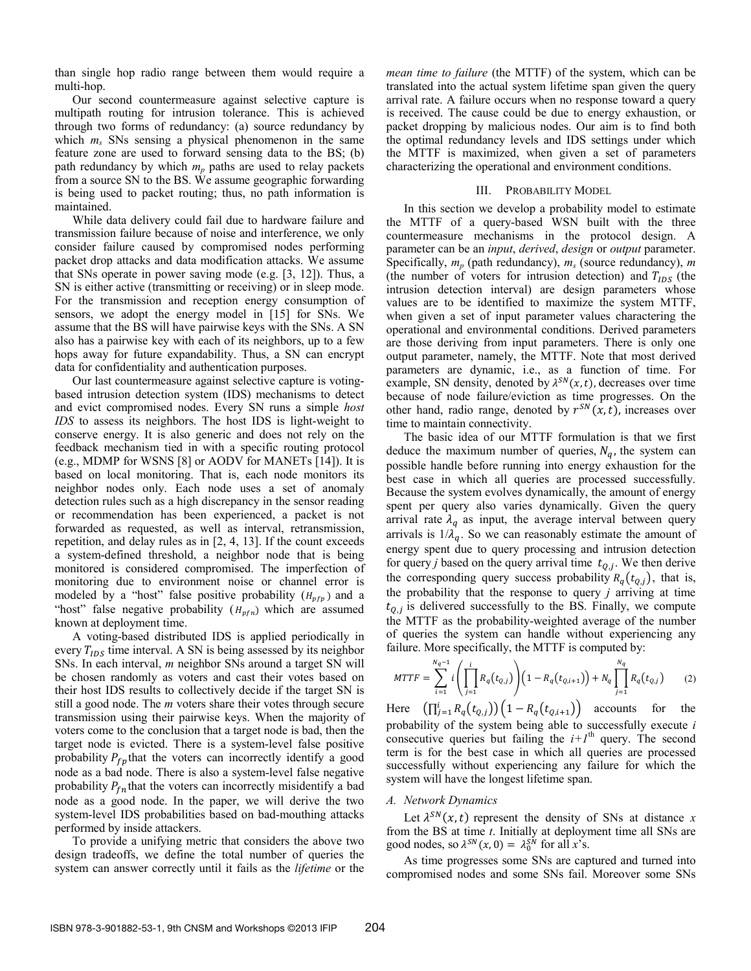than single hop radio range between them would require a multi-hop.

Our second countermeasure against selective capture is multipath routing for intrusion tolerance. This is achieved through two forms of redundancy: (a) source redundancy by which  $m_s$  SNs sensing a physical phenomenon in the same feature zone are used to forward sensing data to the BS; (b) path redundancy by which  $m_p$  paths are used to relay packets from a source SN to the BS. We assume geographic forwarding is being used to packet routing; thus, no path information is maintained.

While data delivery could fail due to hardware failure and transmission failure because of noise and interference, we only consider failure caused by compromised nodes performing packet drop attacks and data modification attacks. We assume that SNs operate in power saving mode (e.g. [3, 12]). Thus, a SN is either active (transmitting or receiving) or in sleep mode. For the transmission and reception energy consumption of sensors, we adopt the energy model in [15] for SNs. We assume that the BS will have pairwise keys with the SNs. A SN also has a pairwise key with each of its neighbors, up to a few hops away for future expandability. Thus, a SN can encrypt data for confidentiality and authentication purposes.

Our last countermeasure against selective capture is votingbased intrusion detection system (IDS) mechanisms to detect and evict compromised nodes. Every SN runs a simple *host IDS* to assess its neighbors. The host IDS is light-weight to conserve energy. It is also generic and does not rely on the feedback mechanism tied in with a specific routing protocol (e.g., MDMP for WSNS [8] or AODV for MANETs [14]). It is based on local monitoring. That is, each node monitors its neighbor nodes only. Each node uses a set of anomaly detection rules such as a high discrepancy in the sensor reading or recommendation has been experienced, a packet is not forwarded as requested, as well as interval, retransmission, repetition, and delay rules as in [2, 4, 13]. If the count exceeds a system-defined threshold, a neighbor node that is being monitored is considered compromised. The imperfection of monitoring due to environment noise or channel error is modeled by a "host" false positive probability  $(H_{pfp})$  and a "host" false negative probability  $(H_{pfn})$  which are assumed known at deployment time.

A voting-based distributed IDS is applied periodically in every  $T_{IDS}$  time interval. A SN is being assessed by its neighbor SNs. In each interval, *m* neighbor SNs around a target SN will be chosen randomly as voters and cast their votes based on their host IDS results to collectively decide if the target SN is still a good node. The *m* voters share their votes through secure transmission using their pairwise keys. When the majority of voters come to the conclusion that a target node is bad, then the target node is evicted. There is a system-level false positive probability  $P_{fp}$  that the voters can incorrectly identify a good node as a bad node. There is also a system-level false negative probability  $P_{fn}$  that the voters can incorrectly misidentify a bad node as a good node. In the paper, we will derive the two system-level IDS probabilities based on bad-mouthing attacks performed by inside attackers.

To provide a unifying metric that considers the above two design tradeoffs, we define the total number of queries the system can answer correctly until it fails as the *lifetime* or the *mean time to failure* (the MTTF) of the system, which can be translated into the actual system lifetime span given the query arrival rate. A failure occurs when no response toward a query is received. The cause could be due to energy exhaustion, or packet dropping by malicious nodes. Our aim is to find both the optimal redundancy levels and IDS settings under which the MTTF is maximized, when given a set of parameters characterizing the operational and environment conditions.

#### III. PROBABILITY MODEL

In this section we develop a probability model to estimate the MTTF of a query-based WSN built with the three countermeasure mechanisms in the protocol design. A parameter can be an *input*, *derived*, *design* or *output* parameter. Specifically, *mp* (path redundancy), *ms* (source redundancy), *m* (the number of voters for intrusion detection) and  $T_{IDS}$  (the intrusion detection interval) are design parameters whose values are to be identified to maximize the system MTTF, when given a set of input parameter values charactering the operational and environmental conditions. Derived parameters are those deriving from input parameters. There is only one output parameter, namely, the MTTF. Note that most derived parameters are dynamic, i.e., as a function of time. For example, SN density, denoted by  $\lambda^{SN}(x, t)$ , decreases over time because of node failure/eviction as time progresses. On the other hand, radio range, denoted by  $r^{SN}(x, t)$ , increases over time to maintain connectivity.

The basic idea of our MTTF formulation is that we first deduce the maximum number of queries,  $N_q$ , the system can possible handle before running into energy exhaustion for the best case in which all queries are processed successfully. Because the system evolves dynamically, the amount of energy spent per query also varies dynamically. Given the query arrival rate  $\lambda_q$  as input, the average interval between query arrivals is  $1/\lambda_q$ . So we can reasonably estimate the amount of energy spent due to query processing and intrusion detection for query *j* based on the query arrival time  $t_{Q,j}$ . We then derive the corresponding query success probability  $R_q(t_{Q,i})$ , that is, the probability that the response to query *j* arriving at time  $t_{0,i}$  is delivered successfully to the BS. Finally, we compute the MTTF as the probability-weighted average of the number of queries the system can handle without experiencing any failure. More specifically, the MTTF is computed by:

$$
MTTF = \sum_{i=1}^{N_q-1} i \left( \prod_{j=1}^i R_q(t_{Q,j}) \right) \left( 1 - R_q(t_{Q,i+1}) \right) + N_q \prod_{j=1}^{N_q} R_q(t_{Q,j}) \tag{2}
$$

Here  $(\prod_{j=1}^{i} R_q(t_{Q,j})) (1 - R_q(t_{Q,i+1}))$  accounts for the probability of the system being able to successfully execute *i* consecutive queries but failing the  $i+1$ <sup>th</sup> query. The second term is for the best case in which all queries are processed successfully without experiencing any failure for which the system will have the longest lifetime span.

## *A. Network Dynamics*

Let  $\lambda^{SN}(x, t)$  represent the density of SNs at distance *x* from the BS at time *t*. Initially at deployment time all SNs are good nodes, so  $\lambda^{SN}(x, 0) = \lambda_0^{SN}$  for all *x*<sup>3</sup>s.

As time progresses some SNs are captured and turned into compromised nodes and some SNs fail. Moreover some SNs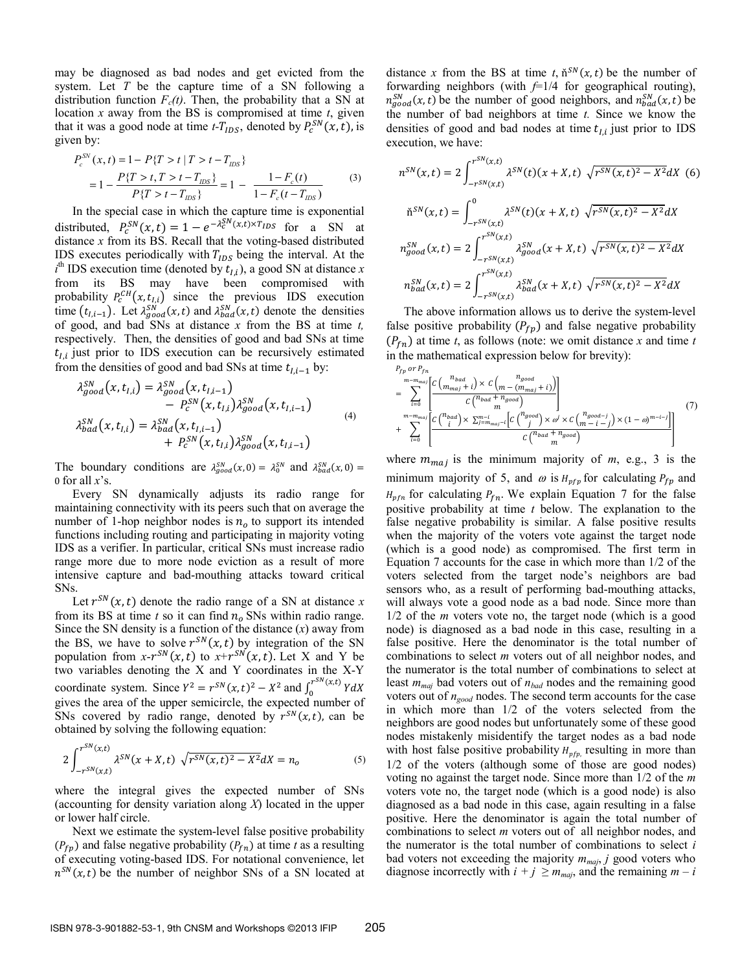may be diagnosed as bad nodes and get evicted from the system. Let *T* be the capture time of a SN following a distribution function  $F_c(t)$ . Then, the probability that a SN at location *x* away from the BS is compromised at time *t*, given that it was a good node at time  $t$ - $T_{IDS}$ , denoted by  $P_c^{SN}(x, t)$ , is given by:

$$
P_c^{SN}(x,t) = 1 - P\{T > t | T > t - T_{IDS}\}\
$$
  
= 
$$
1 - \frac{P\{T > t, T > t - T_{IDS}\}}{P\{T > t - T_{IDS}\}} = 1 - \frac{1 - F_c(t)}{1 - F_c(t - T_{IDS})}
$$
(3)

In the special case in which the capture time is exponential distributed,  $P_c^{SN}(x,t) = 1 - e^{-\lambda_c^{SN}(x,t) \times T_{IDS}}$  for a SN at distance *x* from its BS. Recall that the voting-based distributed IDS executes periodically with  $T_{IDS}$  being the interval. At the  $i^{\text{th}}$  IDS execution time (denoted by  $t_{I,i}$ ), a good SN at distance *x* from its BS may have been compromised with probability  $P_c^{CH}(x, t_{l,i})$  since the previous IDS execution time  $(t_{l,i-1})$ . Let  $\lambda_{good}^{SN}(x,t)$  and  $\lambda_{bad}^{SN}(x,t)$  denote the densities of good, and bad SNs at distance *x* from the BS at time *t,* respectively. Then, the densities of good and bad SNs at time  $t_{Li}$  just prior to IDS execution can be recursively estimated from the densities of good and bad SNs at time  $t_{l,i-1}$  by:

$$
\lambda_{good}^{SN}(x, t_{I,i}) = \lambda_{good}^{SN}(x, t_{I,i-1}) - P_c^{SN}(x, t_{I,i})\lambda_{good}^{SN}(x, t_{I,i-1})
$$
  

$$
\lambda_{bad}^{SN}(x, t_{I,i}) = \lambda_{bad}^{SN}(x, t_{I,i-1}) + P_c^{SN}(x, t_{I,i})\lambda_{good}^{SN}(x, t_{I,i-1})
$$
  
(4)

The boundary conditions are  $\lambda_{good}^{SN}(x, 0) = \lambda_0^{SN}$  and  $\lambda_{bad}^{SN}(x, 0) =$ 0 for all *x*'s.

Every SN dynamically adjusts its radio range for maintaining connectivity with its peers such that on average the number of 1-hop neighbor nodes is  $n<sub>o</sub>$  to support its intended functions including routing and participating in majority voting IDS as a verifier. In particular, critical SNs must increase radio range more due to more node eviction as a result of more intensive capture and bad-mouthing attacks toward critical SNs.

Let  $r^{SN}(x, t)$  denote the radio range of a SN at distance *x* from its BS at time  $t$  so it can find  $n<sub>o</sub>$  SNs within radio range. Since the SN density is a function of the distance  $(x)$  away from the BS, we have to solve  $r^{SN}(x, t)$  by integration of the SN population from  $x-r^{SN}(x, t)$  to  $x+r^{SN}(x, t)$ . Let X and Y be two variables denoting the X and Y coordinates in the X-Y coordinate system. Since  $Y^2 = r^{SN}(x, t)^2 - X^2$  and  $\int_0^{r^{SN}(x, t)} Y dX$ gives the area of the upper semicircle, the expected number of SNs covered by radio range, denoted by  $r^{SN}(x, t)$ , can be obtained by solving the following equation:

$$
2\int_{-r^{SN}(x,t)}^{r^{SN}(x,t)} \lambda^{SN}(x+X,t) \sqrt{r^{SN}(x,t)^2 - X^2} dX = n_o
$$
 (5)

where the integral gives the expected number of SNs (accounting for density variation along *X*) located in the upper or lower half circle.

Next we estimate the system-level false positive probability  $(P_{fp})$  and false negative probability  $(P_{fn})$  at time *t* as a resulting of executing voting-based IDS. For notational convenience, let  $n^{SN}(x, t)$  be the number of neighbor SNs of a SN located at distance *x* from the BS at time *t*,  $\tilde{n}^{SN}(x, t)$  be the number of forwarding neighbors (with *f*=1/4 for geographical routing),  $m_{good}^{SN}(x, t)$  be the number of good neighbors, and  $n_{bad}^{SN}(x, t)$  be the number of bad neighbors at time *t.* Since we know the densities of good and bad nodes at time  $t_{Li}$  just prior to IDS execution, we have:

$$
n^{SN}(x,t) = 2 \int_{-r^{SN}(x,t)}^{r^{SN}(x,t)} \lambda^{SN}(t)(x+X,t) \sqrt{r^{SN}(x,t)^2 - X^2} dX
$$
 (6)  

$$
\tilde{n}^{SN}(x,t) = \int_{-r^{SN}(x,t)}^{0} \lambda^{SN}(t)(x+X,t) \sqrt{r^{SN}(x,t)^2 - X^2} dX
$$
  

$$
n_{good}^{SN}(x,t) = 2 \int_{-r^{SN}(x,t)}^{r^{SN}(x,t)} \lambda_{good}^{SN}(x+X,t) \sqrt{r^{SN}(x,t)^2 - X^2} dX
$$
  

$$
n_{bad}^{SN}(x,t) = 2 \int_{-r^{SN}(x,t)}^{r^{SN}(x,t)} \lambda_{bad}^{SN}(x+X,t) \sqrt{r^{SN}(x,t)^2 - X^2} dX
$$

The above information allows us to derive the system-level false positive probability  $(P_{fp})$  and false negative probability  $(P_{fn})$  at time *t*, as follows (note: we omit distance *x* and time *t* in the mathematical expression below for brevity):

$$
P_{fp} \text{ or } P_{fn}
$$
\n
$$
= \sum_{i=0}^{m-m_{maj}} \left[ \frac{C \left( \frac{n_{bad}}{m_{maj} + i} \right) \times C \left( \frac{n_{good}}{m} + i \right) \right)}{C \left( \frac{n_{bad} + n_{good}}{m} \right)} \right]
$$
\n
$$
+ \sum_{i=0}^{m-m_{maj}} \left[ \frac{C \left( \frac{n_{bad}}{i} \right) \times \sum_{j=m_{maj}-i}^{m-i} \left[ C \left( \frac{n_{good}}{j} \right) \times \omega \right] \times C \left( \frac{n_{good-j}}{m - i - j} \right) \times (1 - \omega)^{m-i-j} \right]}{C \left( \frac{n_{bad} + n_{good}}{m} \right)} \right]
$$
\n(7)

where  $m_{maj}$  is the minimum majority of  $m$ , e.g., 3 is the minimum majority of 5, and  $\omega$  is  $H_{pfp}$  for calculating  $P_{fp}$  and  $H_{pfn}$  for calculating  $P_{fn}$ . We explain Equation 7 for the false positive probability at time *t* below. The explanation to the false negative probability is similar. A false positive results when the majority of the voters vote against the target node (which is a good node) as compromised. The first term in Equation 7 accounts for the case in which more than 1/2 of the voters selected from the target node's neighbors are bad sensors who, as a result of performing bad-mouthing attacks, will always vote a good node as a bad node. Since more than 1/2 of the *m* voters vote no, the target node (which is a good node) is diagnosed as a bad node in this case, resulting in a false positive. Here the denominator is the total number of combinations to select *m* voters out of all neighbor nodes, and the numerator is the total number of combinations to select at least *mmaj* bad voters out of *nbad* nodes and the remaining good voters out of *ngood* nodes. The second term accounts for the case in which more than 1/2 of the voters selected from the neighbors are good nodes but unfortunately some of these good nodes mistakenly misidentify the target nodes as a bad node with host false positive probability  $H_{pfp}$  resulting in more than 1/2 of the voters (although some of those are good nodes) voting no against the target node. Since more than 1/2 of the *m* voters vote no, the target node (which is a good node) is also diagnosed as a bad node in this case, again resulting in a false positive. Here the denominator is again the total number of combinations to select *m* voters out of all neighbor nodes, and the numerator is the total number of combinations to select *i* bad voters not exceeding the majority  $m_{maj}$ , *j* good voters who diagnose incorrectly with  $i + j \ge m_{\text{maj}}$ , and the remaining  $m - i$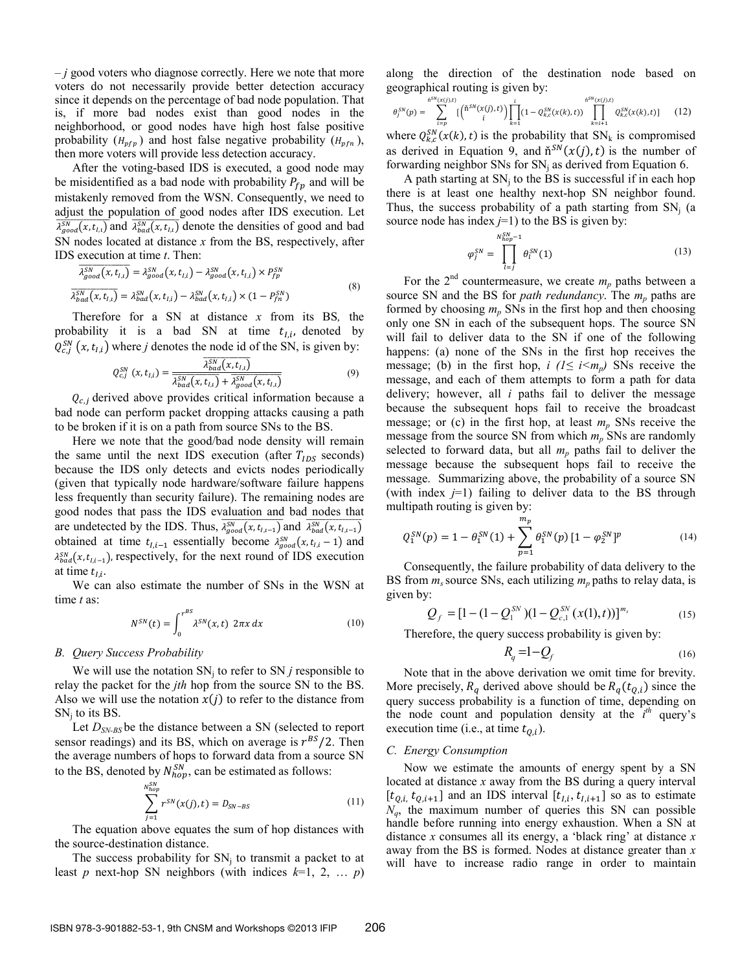*– j* good voters who diagnose correctly. Here we note that more voters do not necessarily provide better detection accuracy since it depends on the percentage of bad node population. That is, if more bad nodes exist than good nodes in the neighborhood, or good nodes have high host false positive probability  $(H_{pfp})$  and host false negative probability  $(H_{pfp})$ , then more voters will provide less detection accuracy.

After the voting-based IDS is executed, a good node may be misidentified as a bad node with probability  $P_{fn}$  and will be mistakenly removed from the WSN. Consequently, we need to adjust the population of good nodes after IDS execution. Let  $\overline{\lambda_{good}^{SN}(x,t_{l,i})}$  and  $\overline{\lambda_{bad}^{SN}(x,t_{l,i})}$  denote the densities of good and bad SN nodes located at distance *x* from the BS, respectively, after IDS execution at time *t*. Then:

$$
\overline{\lambda_{good}^{SN}(x, t_{l,i})} = \lambda_{good}^{SN}(x, t_{l,i}) - \lambda_{good}^{SN}(x, t_{l,i}) \times P_{fp}^{SN}
$$
\n
$$
\overline{\lambda_{bad}^{SN}(x, t_{l,i})} = \lambda_{bad}^{SN}(x, t_{l,i}) - \lambda_{bad}^{SN}(x, t_{l,i}) \times (1 - P_{fn}^{SN})
$$
\n(8)

Therefore for a SN at distance *x* from its BS*,* the probability it is a bad SN at time  $t_{Li}$ , denoted by  $Q_{c,j}^{SN}(x, t_{I,i})$  where *j* denotes the node id of the SN, is given by:

$$
Q_{c,j}^{SN}\left(x,t_{I,i}\right) = \frac{\overline{\lambda_{bad}^{SN}\left(x,t_{I,i}\right)}}{\overline{\lambda_{bad}^{SN}\left(x,t_{I,i}\right)} + \overline{\lambda_{good}^{SN}\left(x,t_{I,i}\right)}}
$$
(9)

 $Q_{c,i}$  derived above provides critical information because a bad node can perform packet dropping attacks causing a path to be broken if it is on a path from source SNs to the BS.

Here we note that the good/bad node density will remain the same until the next IDS execution (after  $T_{IDS}$  seconds) because the IDS only detects and evicts nodes periodically (given that typically node hardware/software failure happens less frequently than security failure). The remaining nodes are good nodes that pass the IDS evaluation and bad nodes that are undetected by the IDS. Thus,  $\overline{\lambda_{good}^{SN}}(x, t_{l,i-1})$  and  $\overline{\lambda_{bad}^{SN}}(x, t_{l,i-1})$ obtained at time  $t_{I,i-1}$  essentially become  $\lambda_{good}^{SN}(x, t_{I,i}-1)$  and  $\lambda_{bad}^{SN}(x, t_{i,i-1})$ , respectively, for the next round of IDS execution at time  $t_{1i}$ .

We can also estimate the number of SNs in the WSN at time *t* as:

$$
N^{SN}(t) = \int_0^{r^{BS}} \lambda^{SN}(x, t) \ 2\pi x \, dx \tag{10}
$$

#### *B. Query Success Probability*

We will use the notation  $SN_i$  to refer to  $SN_j$  responsible to relay the packet for the *jth* hop from the source SN to the BS. Also we will use the notation  $x(j)$  to refer to the distance from  $SN_i$  to its BS.

Let  $D_{SN-BS}$  be the distance between a SN (selected to report sensor readings) and its BS, which on average is  $r^{BS}/2$ . Then the average numbers of hops to forward data from a source SN to the BS, denoted by  $N_{hop}^{SN}$ , can be estimated as follows:

$$
\sum_{j=1}^{N_{hop}^{SN}} r^{SN}(x(j), t) = D_{SN-BS}
$$
\n(11)

The equation above equates the sum of hop distances with the source-destination distance.

The success probability for  $SN_i$  to transmit a packet to at least *p* next-hop SN neighbors (with indices  $k=1, 2, ... p$ ) along the direction of the destination node based on geographical routing is given by:

$$
\theta_j^{SN}(p) = \sum_{i=p}^{h^{SN}(x(j),t)} \left[ \binom{h^{SN}(x(j),t)}{i} \right] \prod_{k=1}^i (1 - Q_{k,c}^{SN}(x(k),t)) \prod_{k=i+1}^{h^{SN}(x(j),t)} Q_{k,c}^{SN}(x(k),t) \tag{12}
$$

where  $Q_{k,c}^{SN}(x(k), t)$  is the probability that  $SN_k$  is compromised as derived in Equation 9, and  $\check{n}^{SN}(x(j), t)$  is the number of forwarding neighbor SNs for  $SN_i$  as derived from Equation 6.

A path starting at  $SN_i$  to the BS is successful if in each hop there is at least one healthy next-hop SN neighbor found. Thus, the success probability of a path starting from  $SN_i$  (a source node has index  $j=1$ ) to the BS is given by:

$$
\varphi_j^{SN} = \prod_{l=j}^{N_{hop}^{SN}-1} \theta_l^{SN}(1) \tag{13}
$$

For the  $2^{nd}$  countermeasure, we create  $m_p$  paths between a source SN and the BS for *path redundancy*. The  $m_p$  paths are formed by choosing  $m_p$  SNs in the first hop and then choosing only one SN in each of the subsequent hops. The source SN will fail to deliver data to the SN if one of the following happens: (a) none of the SNs in the first hop receives the message; (b) in the first hop, *i* ( $1 \le i \le m_p$ ) SNs receive the message, and each of them attempts to form a path for data delivery; however, all *i* paths fail to deliver the message because the subsequent hops fail to receive the broadcast message; or (c) in the first hop, at least *mp* SNs receive the message from the source SN from which  $m_p$  SNs are randomly selected to forward data, but all  $m_p$  paths fail to deliver the message because the subsequent hops fail to receive the message. Summarizing above, the probability of a source SN (with index *j*=1) failing to deliver data to the BS through multipath routing is given by:

$$
Q_1^{SN}(p) = 1 - \theta_1^{SN}(1) + \sum_{p=1}^{m_p} \theta_1^{SN}(p) \left[1 - \varphi_2^{SN}\right]^p \tag{14}
$$

Consequently, the failure probability of data delivery to the BS from  $m_s$  source SNs, each utilizing  $m_p$  paths to relay data, is given by:

$$
Q_f = [1 - (1 - Q_1^{SN})(1 - Q_{c,1}^{SN}(x(1), t))]^{m_s}
$$
 (15)

Therefore, the query success probability is given by:

$$
R_q = 1 - Q_f \tag{16}
$$

Note that in the above derivation we omit time for brevity. More precisely,  $R_q$  derived above should be  $R_q(t_{q,i})$  since the query success probability is a function of time, depending on the node count and population density at the *i th* query's execution time (i.e., at time  $t_{0,i}$ ).

#### *C. Energy Consumption*

Now we estimate the amounts of energy spent by a SN located at distance *x* away from the BS during a query interval  $[t_{Q,i}, t_{Q,i+1}]$  and an IDS interval  $[t_{I,i}, t_{I,i+1}]$  so as to estimate  $N_q$ , the maximum number of queries this SN can possible handle before running into energy exhaustion. When a SN at distance *x* consumes all its energy, a 'black ring' at distance *x* away from the BS is formed. Nodes at distance greater than *x* will have to increase radio range in order to maintain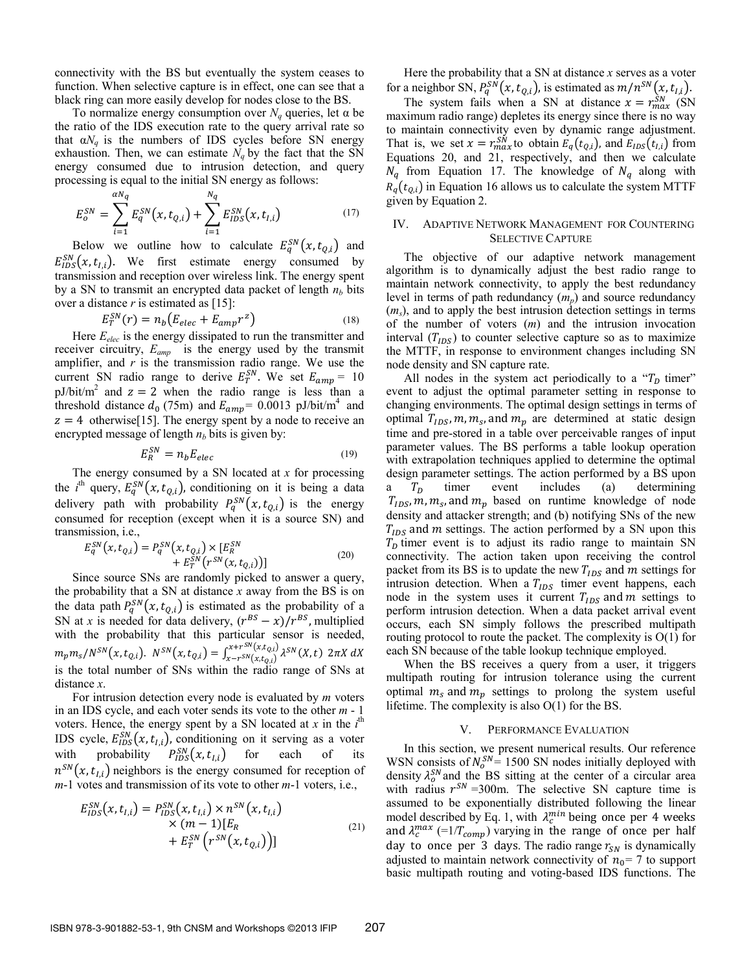connectivity with the BS but eventually the system ceases to function. When selective capture is in effect, one can see that a black ring can more easily develop for nodes close to the BS.

To normalize energy consumption over  $N_q$  queries, let  $\alpha$  be the ratio of the IDS execution rate to the query arrival rate so that  $\alpha N_q$  is the numbers of IDS cycles before SN energy exhaustion. Then, we can estimate  $N_q$  by the fact that the SN energy consumed due to intrusion detection, and query processing is equal to the initial SN energy as follows:

$$
E_o^{SN} = \sum_{i=1}^{\alpha N_q} E_q^{SN}(x, t_{Q,i}) + \sum_{i=1}^{N_q} E_{IDS}^{SN}(x, t_{I,i})
$$
(17)

Below we outline how to calculate  $E_q^{SN}(x, t_{Q,i})$  and  $E_{IDS}^{SN}(x, t_{I,i})$ . We first estimate energy consumed by transmission and reception over wireless link. The energy spent by a SN to transmit an encrypted data packet of length  $n<sub>b</sub>$  bits over a distance *r* is estimated as [15]:

$$
E_T^{SN}(r) = n_b \left( E_{elec} + E_{amp} r^z \right) \tag{18}
$$

Here *Eelec* is the energy dissipated to run the transmitter and receiver circuitry, *Eamp* is the energy used by the transmit amplifier, and *r* is the transmission radio range. We use the current SN radio range to derive  $E_T^{SN}$ . We set  $E_{amp} = 10$ pJ/bit/m<sup>2</sup> and  $z = 2$  when the radio range is less than a threshold distance  $d_0$  (75m) and  $E_{amp} = 0.0013$  pJ/bit/m<sup>4</sup> and  $z = 4$  otherwise[15]. The energy spent by a node to receive an encrypted message of length  $n<sub>b</sub>$  bits is given by:

$$
E_R^{SN} = n_b E_{elec} \tag{19}
$$

The energy consumed by a SN located at *x* for processing the *i*<sup>th</sup> query,  $E_q^{SN}(x, t_{Q,i})$ , conditioning on it is being a data delivery path with probability  $P_q^{SN}(x,t_{Q,i})$  is the energy consumed for reception (except when it is a source SN) and transmission, i.e.,

$$
E_q^{SN}(x, t_{Q,i}) = P_q^{SN}(x, t_{Q,i}) \times [E_R^{SN} + E_T^{SN}(r^{SN}(x, t_{Q,i}))]
$$
\n(20)

Since source SNs are randomly picked to answer a query, the probability that a SN at distance *x* away from the BS is on the data path  $P_q^{SN}(x, t_{Q,i})$  is estimated as the probability of a SN at *x* is needed for data delivery,  $(r^{BS} - x)/r^{BS}$ , multiplied with the probability that this particular sensor is needed,  $m_p m_s/N^{SN}(x, t_{Q,i})$ .  $N^{SN}(x, t_{Q,i}) = \int_{x - r^{SN}(x, t_{Q,i})}^{x + r^{SN}(x, t_{Q,i})} \lambda^{SN}(X, t) 2\pi X dX$ is the total number of SNs within the radio range of SNs at distance *x*.

For intrusion detection every node is evaluated by *m* voters in an IDS cycle, and each voter sends its vote to the other *m* - 1 voters. Hence, the energy spent by a SN located at  $x$  in the  $i<sup>th</sup>$ IDS cycle,  $E_{IDS}^{SN}(x, t_{I,i})$ , conditioning on it serving as a voter with probability  $P_{IDS}^{SN}(x, t_{I,i})$  for each of its  $n^{SN}(x, t_{i,i})$  neighbors is the energy consumed for reception of *m*-1 votes and transmission of its vote to other *m*-1 voters, i.e.,

$$
E_{IDS}^{SN}(x, t_{I,i}) = P_{IDS}^{SN}(x, t_{I,i}) \times n^{SN}(x, t_{I,i})
$$
  
×  $(m - 1)[E_R$   
+  $E_T^{SN}(r^{SN}(x, t_{Q,i}))]$  (21)

Here the probability that a SN at distance *x* serves as a voter for a neighbor SN,  $P_q^{SN}(x, t_{Q,i})$ , is estimated as  $m/n^{SN}(x, t_{I,i})$ .

The system fails when a SN at distance  $x = r_{max}^{SN}$  (SN maximum radio range) depletes its energy since there is no way to maintain connectivity even by dynamic range adjustment. That is, we set  $x = r_{max}^{SN}$  to obtain  $E_q(t_{q,i})$ , and  $E_{IDS}(t_{q,i})$  from Equations 20, and 21, respectively, and then we calculate  $N_q$  from Equation 17. The knowledge of  $N_q$  along with  $R_q(t_{0,i})$  in Equation 16 allows us to calculate the system MTTF given by Equation 2.

### IV. ADAPTIVE NETWORK MANAGEMENT FOR COUNTERING SELECTIVE CAPTURE

The objective of our adaptive network management algorithm is to dynamically adjust the best radio range to maintain network connectivity, to apply the best redundancy level in terms of path redundancy (*mp*) and source redundancy (*ms*), and to apply the best intrusion detection settings in terms of the number of voters (*m*) and the intrusion invocation interval  $(T<sub>IDS</sub>)$  to counter selective capture so as to maximize the MTTF, in response to environment changes including SN node density and SN capture rate.

All nodes in the system act periodically to a " $T<sub>D</sub>$  timer" event to adjust the optimal parameter setting in response to changing environments. The optimal design settings in terms of optimal  $T_{IDS}$ ,  $m, m_s$ , and  $m_p$  are determined at static design time and pre-stored in a table over perceivable ranges of input parameter values. The BS performs a table lookup operation with extrapolation techniques applied to determine the optimal design parameter settings. The action performed by a BS upon  $T_D$  timer event includes (a) determining  $T_{IDS}$ ,  $m_s$ , and  $m_p$  based on runtime knowledge of node density and attacker strength; and (b) notifying SNs of the new  $T_{IDS}$  and m settings. The action performed by a SN upon this  $T<sub>D</sub>$  timer event is to adjust its radio range to maintain SN connectivity. The action taken upon receiving the control packet from its BS is to update the new  $T_{IDS}$  and m settings for intrusion detection. When a  $T_{IDS}$  timer event happens, each node in the system uses it current  $T_{IDS}$  and m settings to perform intrusion detection. When a data packet arrival event occurs, each SN simply follows the prescribed multipath routing protocol to route the packet. The complexity is O(1) for each SN because of the table lookup technique employed.

When the BS receives a query from a user, it triggers multipath routing for intrusion tolerance using the current optimal  $m_s$  and  $m_p$  settings to prolong the system useful lifetime. The complexity is also O(1) for the BS.

#### V. PERFORMANCE EVALUATION

In this section, we present numerical results. Our reference WSN consists of  $N_0^{SN}$  = 1500 SN nodes initially deployed with density  $\lambda_0^{SN}$  and the BS sitting at the center of a circular area with radius  $r^{SN}$  =300m. The selective SN capture time is assumed to be exponentially distributed following the linear model described by Eq. 1, with  $\lambda_c^{min}$  being once per 4 weeks and  $\lambda_c^{max}$  (=1/ $T_{comp}$ ) varying in the range of once per half day to once per 3 days. The radio range  $r_{SN}$  is dynamically adjusted to maintain network connectivity of  $n_0$ = 7 to support basic multipath routing and voting-based IDS functions. The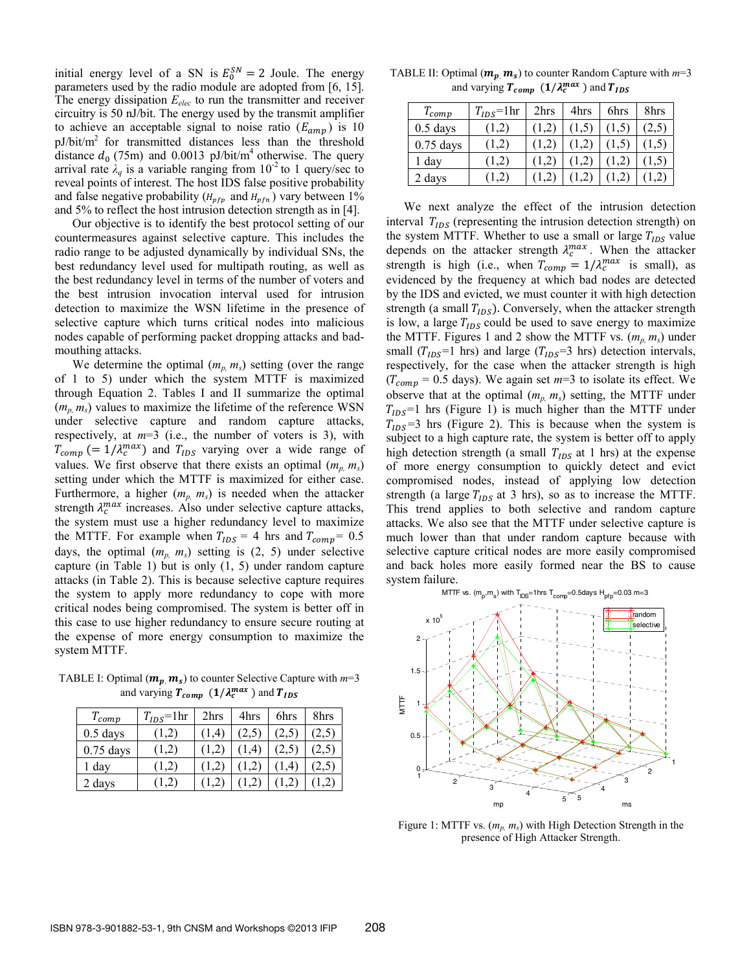initial energy level of a SN is  $E_0^{SN} = 2$  Joule. The energy parameters used by the radio module are adopted from [6, 15]. The energy dissipation  $E_{elec}$  to run the transmitter and receiver circuitry is 50 nJ/bit. The energy used by the transmit amplifier to achieve an acceptable signal to noise ratio  $(E_{amp})$  is 10  $pJ/bit/m<sup>2</sup>$  for transmitted distances less than the threshold distance  $d_0$  (75m) and 0.0013 pJ/bit/m<sup>4</sup> otherwise. The query arrival rate  $\lambda_a$  is a variable ranging from  $10^{-2}$  to 1 query/sec to reveal points of interest. The host IDS false positive probability and false negative probability ( $H_{\nu\ell\nu}$  and  $H_{\nu\ell\nu}$ ) vary between 1% and 5% to reflect the host intrusion detection strength as in [4].

Our objective is to identify the best protocol setting of our countermeasures against selective capture. This includes the radio range to be adjusted dynamically by individual SNs, the best redundancy level used for multipath routing, as well as the best redundancy level in terms of the number of voters and the best intrusion invocation interval used for intrusion detection to maximize the WSN lifetime in the presence of selective capture which turns critical nodes into malicious nodes capable of performing packet dropping attacks and badmouthing attacks.

We determine the optimal  $(m_p, m_s)$  setting (over the range of 1 to 5) under which the system MTTF is maximized through Equation 2. Tables I and II summarize the optimal  $(m_n, m_s)$  values to maximize the lifetime of the reference WSN under selective capture and random capture attacks, respectively, at  $m=3$  (i.e., the number of voters is 3), with  $T_{comp}$  (=  $1/\lambda_c^{max}$ ) and  $T_{IDS}$  varying over a wide range of values. We first observe that there exists an optimal  $(m_n, m_s)$ setting under which the MTTF is maximized for either case. Furthermore, a higher  $(m_n, m_s)$  is needed when the attacker strength  $\lambda_c^{max}$  increases. Also under selective capture attacks, the system must use a higher redundancy level to maximize the MTTF. For example when  $T_{IDS} = 4$  hrs and  $T_{comp} = 0.5$ days, the optimal  $(m_p, m_s)$  setting is  $(2, 5)$  under selective capture (in Table 1) but is only (1, 5) under random capture attacks (in Table 2). This is because selective capture requires the system to apply more redundancy to cope with more critical nodes being compromised. The system is better off in this case to use higher redundancy to ensure secure routing at the expense of more energy consumption to maximize the system MTTF.

TABLE I: Optimal  $(m_p, m_s)$  to counter Selective Capture with  $m=3$ and varying  $T_{comp}$  ( $1/\lambda_c^{max}$ ) and  $T_{IDS}$ 

| $T_{comp}$  | $T_{IDS}$ =1hr | 2hrs  | 4hrs      | 6hrs | 8hrs  |
|-------------|----------------|-------|-----------|------|-------|
| $0.5$ days  | (1,2)          | (1,4) |           | 2,5  | (2,5) |
| $0.75$ days | (1,2)          |       | $\cdot$ 4 |      |       |
| 1 day       | (1,2)          |       |           |      |       |
| 2 days      | 1.2)           |       |           |      |       |

TABLE II: Optimal  $(m_p, m_s)$  to counter Random Capture with  $m=3$ and varying  $T_{comp}$  ( $1/\lambda_c^{max}$ ) and  $T_{IDS}$ 

| $T_{comp}$  | $T_{IDS}$ =1hr | 2hrs | 4hrs | 6hrs | 8hrs |
|-------------|----------------|------|------|------|------|
| $0.5$ days  | (1,2)          |      |      |      | 2,5  |
| $0.75$ days | (1,2)          |      |      |      |      |
| 1 day       | 1,2)           |      |      |      |      |
| 2 days      | 1.2)           |      |      |      |      |

We next analyze the effect of the intrusion detection interval  $T_{IDS}$  (representing the intrusion detection strength) on the system MTTF. Whether to use a small or large  $T_{IDS}$  value depends on the attacker strength  $\lambda_c^{max}$ . When the attacker strength is high (i.e., when  $T_{comp} = 1/\lambda_c^{max}$  is small), as evidenced by the frequency at which bad nodes are detected by the IDS and evicted, we must counter it with high detection strength (a small  $T_{IDS}$ ). Conversely, when the attacker strength is low, a large  $T_{IDS}$  could be used to save energy to maximize the MTTF. Figures 1 and 2 show the MTTF vs.  $(m_p, m_s)$  under small ( $T_{IDS}$ =1 hrs) and large ( $T_{IDS}$ =3 hrs) detection intervals, respectively, for the case when the attacker strength is high  $(T_{\text{comp}} = 0.5 \text{ days})$ . We again set  $m=3$  to isolate its effect. We observe that at the optimal  $(m_p, m_s)$  setting, the MTTF under  $T<sub>IDS</sub>=1$  hrs (Figure 1) is much higher than the MTTF under  $T_{IDS}$ =3 hrs (Figure 2). This is because when the system is subject to a high capture rate, the system is better off to apply high detection strength (a small  $T_{IDS}$  at 1 hrs) at the expense of more energy consumption to quickly detect and evict compromised nodes, instead of applying low detection strength (a large  $T_{IDS}$  at 3 hrs), so as to increase the MTTF. This trend applies to both selective and random capture attacks. We also see that the MTTF under selective capture is much lower than that under random capture because with selective capture critical nodes are more easily compromised and back holes more easily formed near the BS to cause system failure.



Figure 1: MTTF vs.  $(m_n, m_s)$  with High Detection Strength in the presence of High Attacker Strength.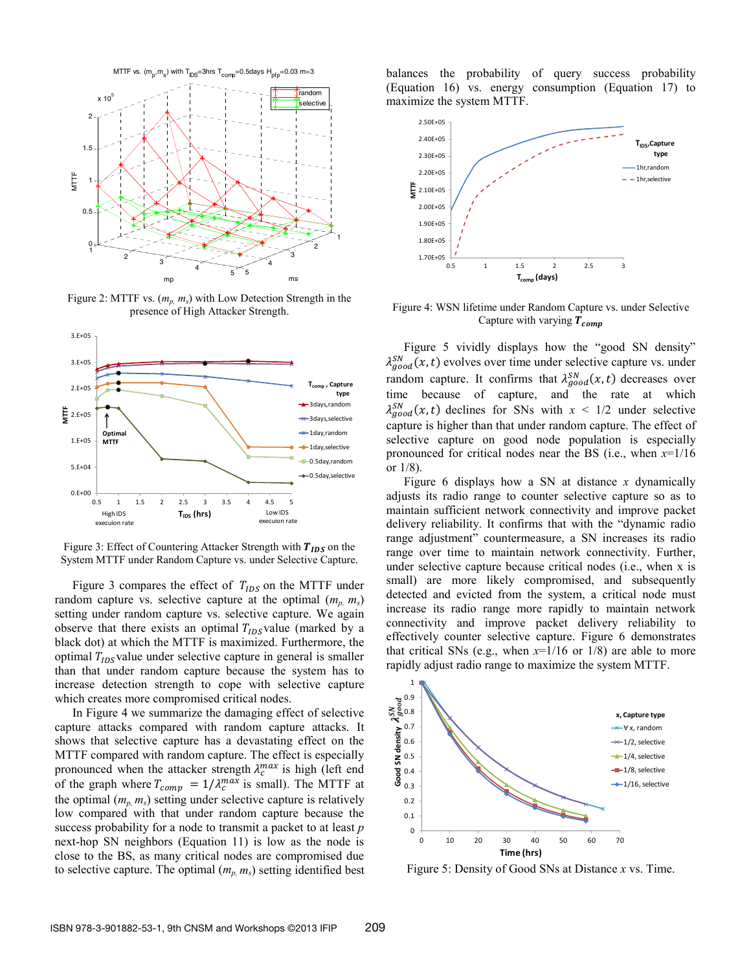

Figure 2: MTTF vs. (*mp, ms*) with Low Detection Strength in the presence of High Attacker Strength.



Figure 3: Effect of Countering Attacker Strength with  $T_{IDS}$  on the System MTTF under Random Capture vs. under Selective Capture.

Figure 3 compares the effect of  $T_{IDS}$  on the MTTF under random capture vs. selective capture at the optimal  $(m_p, m_s)$ setting under random capture vs. selective capture. We again observe that there exists an optimal  $T_{IDS}$  value (marked by a black dot) at which the MTTF is maximized. Furthermore, the optimal  $T<sub>INS</sub>$ value under selective capture in general is smaller than that under random capture because the system has to increase detection strength to cope with selective capture which creates more compromised critical nodes.

In Figure 4 we summarize the damaging effect of selective capture attacks compared with random capture attacks. It shows that selective capture has a devastating effect on the MTTF compared with random capture. The effect is especially pronounced when the attacker strength  $\lambda_c^{max}$  is high (left end of the graph where  $T_{comp} = 1/\lambda_c^{max}$  is small). The MTTF at the optimal  $(m_p, m_s)$  setting under selective capture is relatively low compared with that under random capture because the success probability for a node to transmit a packet to at least *p* next-hop SN neighbors (Equation 11) is low as the node is close to the BS, as many critical nodes are compromised due to selective capture. The optimal  $(m_p, m_s)$  setting identified best

balances the probability of query success probability (Equation 16) vs. energy consumption (Equation 17) to maximize the system MTTF.



Figure 4: WSN lifetime under Random Capture vs. under Selective Capture with varying  $T_{comp}$ 

Figure 5 vividly displays how the "good SN density"  $\lambda_{good}^{SN}(x, t)$  evolves over time under selective capture vs. under random capture. It confirms that  $\lambda_{good}^{SN}(x, t)$  decreases over time because of capture, and the rate at which  $\lambda_{good}^{SN}(x, t)$  declines for SNs with  $x \leq 1/2$  under selective capture is higher than that under random capture. The effect of selective capture on good node population is especially pronounced for critical nodes near the BS (i.e., when *x*=1/16 or 1/8).

Figure 6 displays how a SN at distance *x* dynamically adjusts its radio range to counter selective capture so as to maintain sufficient network connectivity and improve packet delivery reliability. It confirms that with the "dynamic radio range adjustment" countermeasure, a SN increases its radio range over time to maintain network connectivity. Further, under selective capture because critical nodes (i.e., when x is small) are more likely compromised, and subsequently detected and evicted from the system, a critical node must increase its radio range more rapidly to maintain network connectivity and improve packet delivery reliability to effectively counter selective capture. Figure 6 demonstrates that critical SNs (e.g., when  $x=1/16$  or 1/8) are able to more rapidly adjust radio range to maximize the system MTTF.



Figure 5: Density of Good SNs at Distance *x* vs. Time.